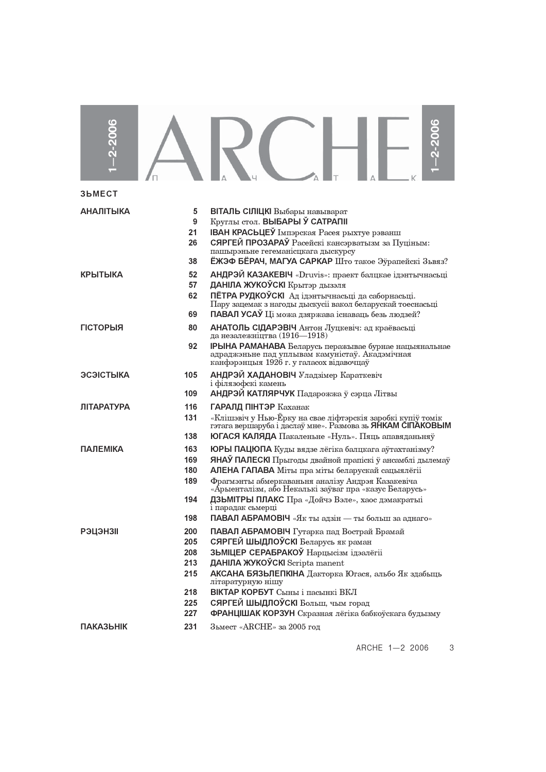| $-2 - 2006$       |                                        | 2-2006                                                                                                                                                                                                                                                                                                                                                                                                            |
|-------------------|----------------------------------------|-------------------------------------------------------------------------------------------------------------------------------------------------------------------------------------------------------------------------------------------------------------------------------------------------------------------------------------------------------------------------------------------------------------------|
| 3bMECT            |                                        |                                                                                                                                                                                                                                                                                                                                                                                                                   |
| <b>АНАЛІТЫКА</b>  | 5<br>9<br>21<br>26<br>38               | ВІТАЛЬ СІЛІЦКІ Выбары навыварат<br>Круглы стол. ВЫБАРЫ Ў САТРАПІІ<br><b>IBAH КРАСЬЦЕЎ</b> Імпэрская Расея рыхтуе рэванш<br>СЯРГЕЙ ПРОЗАРАЎ Расейскі кансэрватызм за Пуціным:<br>пашырэньне гегеманісцкага дыскурсу<br>ЁЖЭФ БЁРАЧ, МАГУА САРКАР Што такое Эўрапейскі Зьвяз?                                                                                                                                        |
| КРЫТЫКА           | 52<br>57<br>62<br>69                   | АНДРЭЙ КАЗАКЕВІЧ «Druvis»: праект балцкае ідэнтычнасьці<br>ДАНІЛА ЖУКОЎСКІ Крытэр дызэля<br>ПЁТРА РУДКОЎСКІ Ад ідэнтычнасьці да саборнасьці.<br>Пару зацемак з нагоды дыскусіі вакол беларускай тоеснасьці<br>ПАВАЛ УСАЎ Ці можа дзяржава існаваць безь людзей?                                                                                                                                                   |
| <b>ГІСТОРЫЯ</b>   | 80<br>92                               | АНАТОЛЬ СІДАРЭВІЧ Антон Луцкевіч: ад краёвасьці<br>да незалежніцтва (1916—1918)<br><b>IPЫНА РАМАНАВА</b> Беларусь перажывае бурнае нацыянальнае<br>адраджэньне пад уплывам камуністаў. Акадэмічная<br>канфэрэнцыя 1926 г. у галасох відавочцаў                                                                                                                                                                    |
| ЭСЭІСТЫКА         | 105<br>109                             | АНДРЭЙ ХАДАНОВІЧ Уладзімер Караткевіч<br>і філязофскі камень<br>АНДРЭЙ КАТЛЯРЧУК Падарожжа ў сэрца Літвы                                                                                                                                                                                                                                                                                                          |
| <b>ЛІТАРАТУРА</b> | 116<br>131<br>138                      | ГАРАЛД ПІНТЭР Каханак<br>«Клішэвіч у Нью-Ёрку на свае ліфтэрскія заробкі купіў томік<br>гэтага вершаруба і даслаў мне». Размова зь ЯНКАМ СІПАКОВЫМ<br>ЮГАСЯ КАЛЯДА Пакаленьне «Нуль». Пяць апавяданьняў                                                                                                                                                                                                           |
| <b>ПАЛЕМІКА</b>   | 163<br>169<br>180<br>189<br>194<br>198 | ЮРЫ ПАЦЮПА Куды вядзе лёгіка балцкага аўтахтанізму?<br>ЯНАЎ ПАЛЕСКІ Прыгоды двайной прапіскі ў ансамблі дылемаў<br>АЛЕНА ГАПАВА Міты пра міты беларускай сацыялёгіі<br>Фрагмэнты абмеркаваньня аналізу Андрэя Казакевіча<br>«Арыенталізм, або Некалькі заўваг пра «казус Беларусь»<br>ДЗЬМІТРЫ ПЛАКС Пра «Дойчэ Вэле», хаос дэмакратыі<br>і парадак сьмерці<br>ПАВАЛ АБРАМОВІЧ «Як ты адзін — ты больш за аднаго» |
| <b>РЭЦЭНЗІІ</b>   | 200<br>205<br>208<br>213<br>215<br>218 | ПАВАЛ АБРАМОВІЧ Гутарка пад Вострай Брамай<br>СЯРГЕЙ ШЫДЛОЎСКІ Беларусь як раман<br>ЗЬМІЦЕР СЕРАБРАКОЎ Нарцысізм ідэалёгіі<br>ДАНІЛА ЖУКОЎСКІ Scripta manent<br>АКСАНА БЯЗЬЛЕПКІНА Дакторка Югася, альбо Як здабыць<br>літаратурную нішу<br>ВІКТАР КОРБУТ Сыны і пасынкі ВКЛ                                                                                                                                      |
|                   | 225<br>227                             | СЯРГЕЙ ШЫДЛОЎСКІ Больш, чым горад<br>ФРАНЦІШАК КОРЗУН Скразная лёгіка бабкоўскага будызму                                                                                                                                                                                                                                                                                                                         |
| <b>ПАКАЗЬНІК</b>  | 231                                    | Зьмест «ARCHE» за 2005 год                                                                                                                                                                                                                                                                                                                                                                                        |